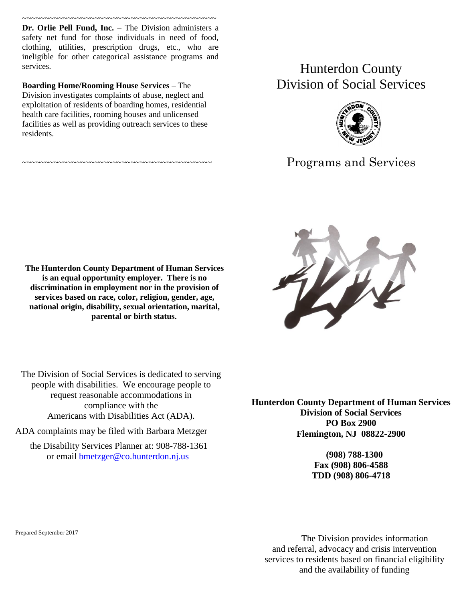~~~~~~~~~~~~~~~~~~~~~~~~~~~~~~~~~~~~~~~~~~~ **Dr. Orlie Pell Fund, Inc.** – The Division administers a safety net fund for those individuals in need of food, clothing, utilities, prescription drugs, etc., who are ineligible for other categorical assistance programs and services.

**Boarding Home/Rooming House Services** – The Division investigates complaints of abuse, neglect and exploitation of residents of boarding homes, residential health care facilities, rooming houses and unlicensed facilities as well as providing outreach services to these residents.

~~~~~~~~~~~~~~~~~~~~~~~~~~~~~~~~~~~~~~~~~~

# Hunterdon County Division of Social Services



## Programs and Services



**The Hunterdon County Department of Human Services is an equal opportunity employer. There is no discrimination in employment nor in the provision of services based on race, color, religion, gender, age, national origin, disability, sexual orientation, marital, parental or birth status.**

The Division of Social Services is dedicated to serving people with disabilities. We encourage people to request reasonable accommodations in compliance with the Americans with Disabilities Act (ADA).

ADA complaints may be filed with Barbara Metzger

the Disability Services Planner at: 908-788-1361 or email [bmetzger@co.hunterdon.nj.us](mailto:bmetzger@co.hunterdon.nj.us)

**Hunterdon County Department of Human Services Division of Social Services PO Box 2900 Flemington, NJ 08822-2900**

> **(908) 788-1300 Fax (908) 806-4588 TDD (908) 806-4718**

Prepared September 2017

The Division provides information and referral, advocacy and crisis intervention services to residents based on financial eligibility and the availability of funding